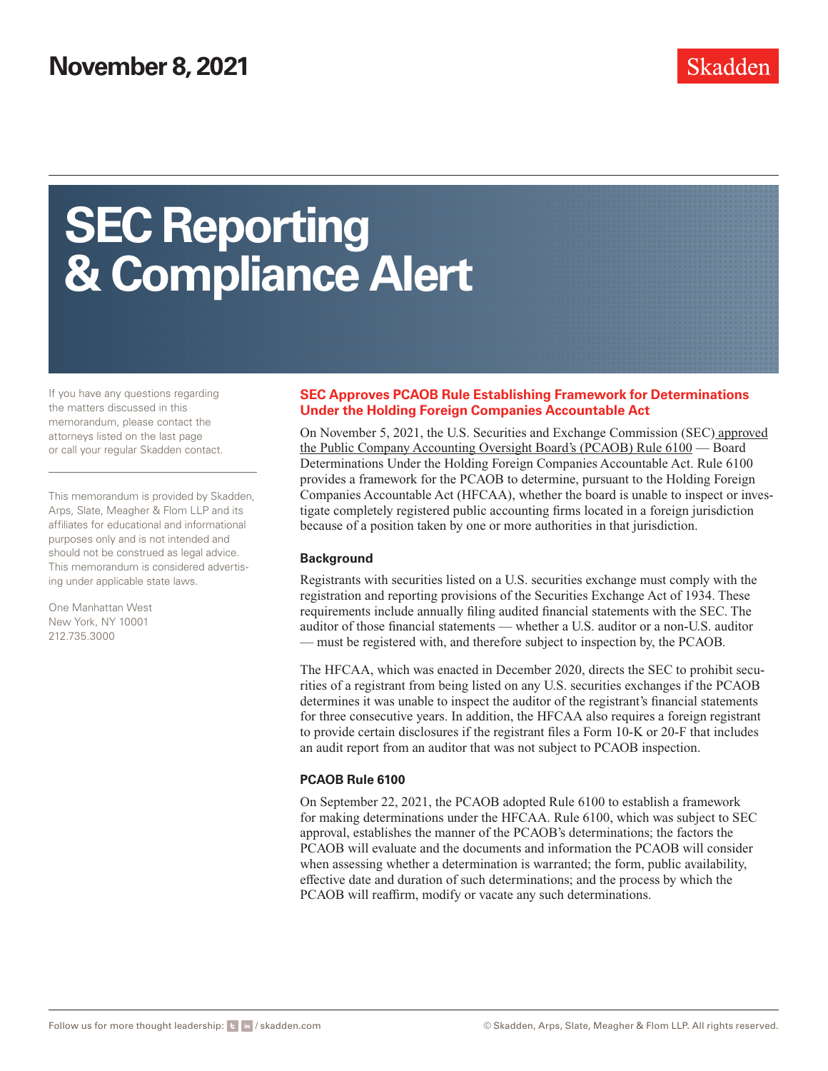# **SEC Reporting & Compliance Alert**

If you have any questions regarding the matters discussed in this memorandum, please contact the attorneys listed on the last page or call your regular Skadden contact.

This memorandum is provided by Skadden, Arps, Slate, Meagher & Flom LLP and its affiliates for educational and informational purposes only and is not intended and should not be construed as legal advice. This memorandum is considered advertising under applicable state laws.

One Manhattan West New York, NY 10001 212.735.3000

#### **SEC Approves PCAOB Rule Establishing Framework for Determinations Under the Holding Foreign Companies Accountable Act**

On November 5, 2021, the U.S. Securities and Exchange Commission (SEC) [approved](https://www.skadden.com/-/media/files/publications/2021/11/sec-approves-pcaob-rule/1stpara_3493527.pdf) [the Public Company Accounting Oversight Board's \(PCAOB\) Rule 6100](https://www.skadden.com/-/media/files/publications/2021/11/sec-approves-pcaob-rule/1stpara_3493527.pdf) — Board Determinations Under the Holding Foreign Companies Accountable Act. Rule 6100 provides a framework for the PCAOB to determine, pursuant to the Holding Foreign Companies Accountable Act (HFCAA), whether the board is unable to inspect or investigate completely registered public accounting firms located in a foreign jurisdiction because of a position taken by one or more authorities in that jurisdiction.

#### **Background**

Registrants with securities listed on a U.S. securities exchange must comply with the registration and reporting provisions of the Securities Exchange Act of 1934. These requirements include annually filing audited financial statements with the SEC. The auditor of those financial statements — whether a U.S. auditor or a non-U.S. auditor — must be registered with, and therefore subject to inspection by, the PCAOB.

The HFCAA, which was enacted in December 2020, directs the SEC to prohibit securities of a registrant from being listed on any U.S. securities exchanges if the PCAOB determines it was unable to inspect the auditor of the registrant's financial statements for three consecutive years. In addition, the HFCAA also requires a foreign registrant to provide certain disclosures if the registrant files a Form 10-K or 20-F that includes an audit report from an auditor that was not subject to PCAOB inspection.

### **PCAOB Rule 6100**

On September 22, 2021, the PCAOB adopted Rule 6100 to establish a framework for making determinations under the HFCAA. Rule 6100, which was subject to SEC approval, establishes the manner of the PCAOB's determinations; the factors the PCAOB will evaluate and the documents and information the PCAOB will consider when assessing whether a determination is warranted; the form, public availability, effective date and duration of such determinations; and the process by which the PCAOB will reaffirm, modify or vacate any such determinations.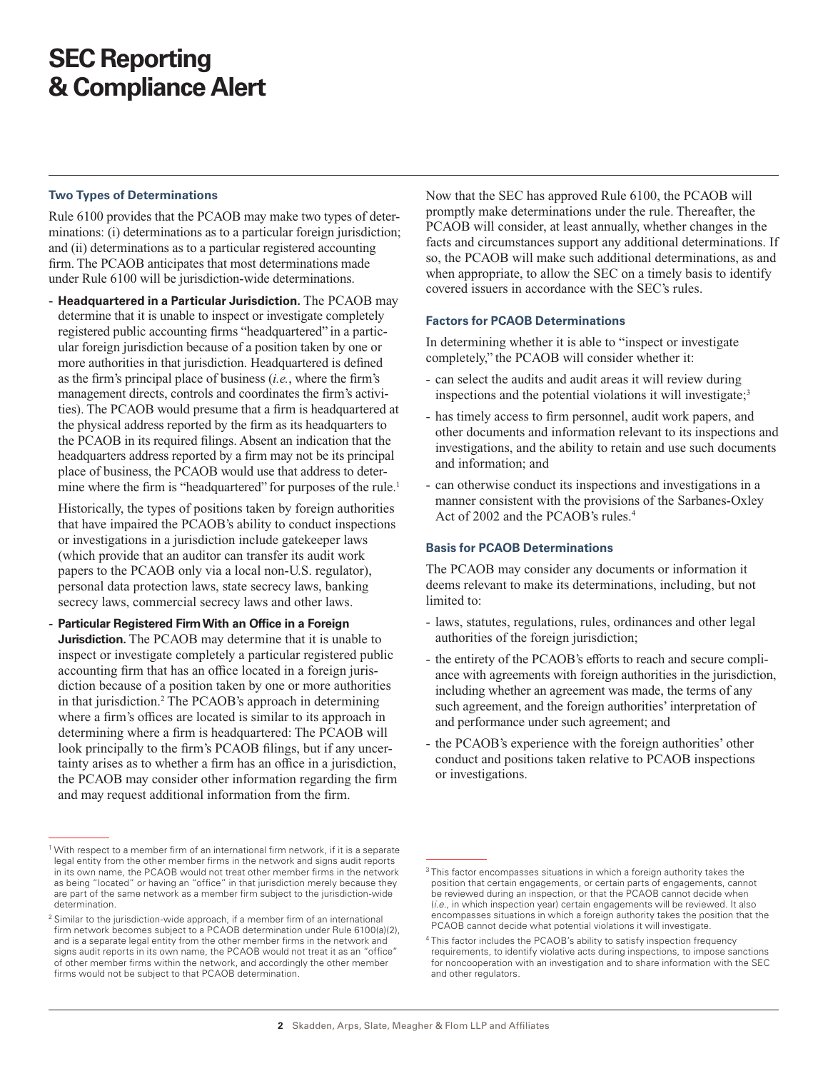# **SEC Reporting & Compliance Alert**

#### **Two Types of Determinations**

Rule 6100 provides that the PCAOB may make two types of determinations: (i) determinations as to a particular foreign jurisdiction; and (ii) determinations as to a particular registered accounting firm. The PCAOB anticipates that most determinations made under Rule 6100 will be jurisdiction-wide determinations.

- **Headquartered in a Particular Jurisdiction.** The PCAOB may determine that it is unable to inspect or investigate completely registered public accounting firms "headquartered" in a particular foreign jurisdiction because of a position taken by one or more authorities in that jurisdiction. Headquartered is defined as the firm's principal place of business (*i.e.*, where the firm's management directs, controls and coordinates the firm's activities). The PCAOB would presume that a firm is headquartered at the physical address reported by the firm as its headquarters to the PCAOB in its required filings. Absent an indication that the headquarters address reported by a firm may not be its principal place of business, the PCAOB would use that address to determine where the firm is "headquartered" for purposes of the rule.<sup>1</sup>

Historically, the types of positions taken by foreign authorities that have impaired the PCAOB's ability to conduct inspections or investigations in a jurisdiction include gatekeeper laws (which provide that an auditor can transfer its audit work papers to the PCAOB only via a local non-U.S. regulator), personal data protection laws, state secrecy laws, banking secrecy laws, commercial secrecy laws and other laws.

- **Particular Registered Firm With an Office in a Foreign Jurisdiction.** The PCAOB may determine that it is unable to inspect or investigate completely a particular registered public accounting firm that has an office located in a foreign jurisdiction because of a position taken by one or more authorities in that jurisdiction.<sup>2</sup> The PCAOB's approach in determining where a firm's offices are located is similar to its approach in determining where a firm is headquartered: The PCAOB will look principally to the firm's PCAOB filings, but if any uncertainty arises as to whether a firm has an office in a jurisdiction, the PCAOB may consider other information regarding the firm and may request additional information from the firm.

Now that the SEC has approved Rule 6100, the PCAOB will promptly make determinations under the rule. Thereafter, the PCAOB will consider, at least annually, whether changes in the facts and circumstances support any additional determinations. If so, the PCAOB will make such additional determinations, as and when appropriate, to allow the SEC on a timely basis to identify covered issuers in accordance with the SEC's rules.

#### **Factors for PCAOB Determinations**

In determining whether it is able to "inspect or investigate completely," the PCAOB will consider whether it:

- can select the audits and audit areas it will review during inspections and the potential violations it will investigate; $3$
- has timely access to firm personnel, audit work papers, and other documents and information relevant to its inspections and investigations, and the ability to retain and use such documents and information; and
- can otherwise conduct its inspections and investigations in a manner consistent with the provisions of the Sarbanes-Oxley Act of 2002 and the PCAOB's rules.<sup>4</sup>

#### **Basis for PCAOB Determinations**

The PCAOB may consider any documents or information it deems relevant to make its determinations, including, but not limited to:

- laws, statutes, regulations, rules, ordinances and other legal authorities of the foreign jurisdiction;
- the entirety of the PCAOB's efforts to reach and secure compliance with agreements with foreign authorities in the jurisdiction, including whether an agreement was made, the terms of any such agreement, and the foreign authorities' interpretation of and performance under such agreement; and
- the PCAOB's experience with the foreign authorities' other conduct and positions taken relative to PCAOB inspections or investigations.

 $1$  With respect to a member firm of an international firm network, if it is a separate legal entity from the other member firms in the network and signs audit reports in its own name, the PCAOB would not treat other member firms in the network as being "located" or having an "office" in that jurisdiction merely because they are part of the same network as a member firm subject to the jurisdiction-wide determination.

<sup>&</sup>lt;sup>2</sup> Similar to the jurisdiction-wide approach, if a member firm of an international firm network becomes subject to a PCAOB determination under Rule 6100(a)(2), and is a separate legal entity from the other member firms in the network and signs audit reports in its own name, the PCAOB would not treat it as an "office" of other member firms within the network, and accordingly the other member firms would not be subject to that PCAOB determination.

<sup>&</sup>lt;sup>3</sup> This factor encompasses situations in which a foreign authority takes the position that certain engagements, or certain parts of engagements, cannot be reviewed during an inspection, or that the PCAOB cannot decide when (*i.e*., in which inspection year) certain engagements will be reviewed. It also encompasses situations in which a foreign authority takes the position that the PCAOB cannot decide what potential violations it will investigate.

<sup>4</sup> This factor includes the PCAOB's ability to satisfy inspection frequency requirements, to identify violative acts during inspections, to impose sanctions for noncooperation with an investigation and to share information with the SEC and other regulators.